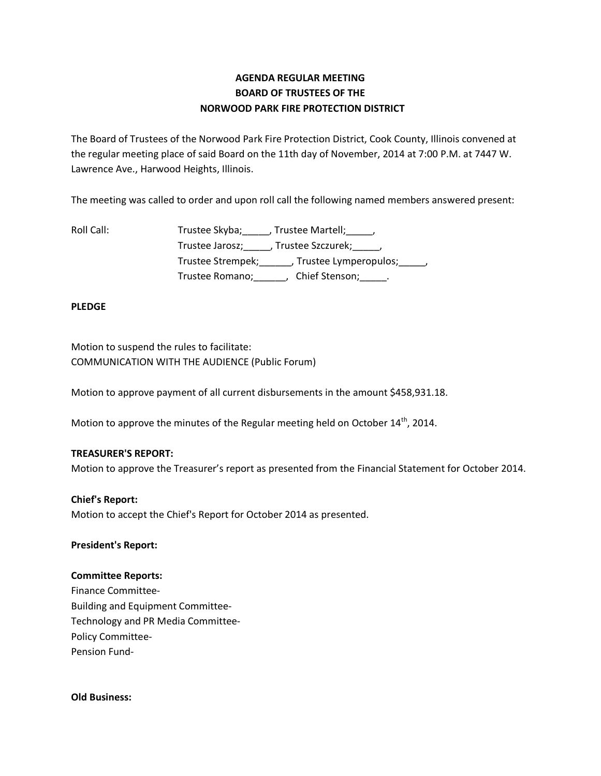# **AGENDA REGULAR MEETING BOARD OF TRUSTEES OF THE NORWOOD PARK FIRE PROTECTION DISTRICT**

The Board of Trustees of the Norwood Park Fire Protection District, Cook County, Illinois convened at the regular meeting place of said Board on the 11th day of November, 2014 at 7:00 P.M. at 7447 W. Lawrence Ave., Harwood Heights, Illinois.

The meeting was called to order and upon roll call the following named members answered present:

| Roll Call: | Trustee Skyba; _____, Trustee Martell; _____,             |
|------------|-----------------------------------------------------------|
|            | Trustee Jarosz; Jrustee Szczurek; J                       |
|            | Trustee Strempek; Trustee Lymperopulos; frustee Strempek; |
|            | Chief Stenson; Fig. 1.<br>Trustee Romano;                 |

## **PLEDGE**

Motion to suspend the rules to facilitate: COMMUNICATION WITH THE AUDIENCE (Public Forum)

Motion to approve payment of all current disbursements in the amount \$458,931.18.

Motion to approve the minutes of the Regular meeting held on October  $14<sup>th</sup>$ , 2014.

## **TREASURER'S REPORT:**

Motion to approve the Treasurer's report as presented from the Financial Statement for October 2014.

## **Chief's Report:**

Motion to accept the Chief's Report for October 2014 as presented.

## **President's Report:**

## **Committee Reports:**

Finance Committee-Building and Equipment Committee-Technology and PR Media Committee-Policy Committee-Pension Fund-

## **Old Business:**